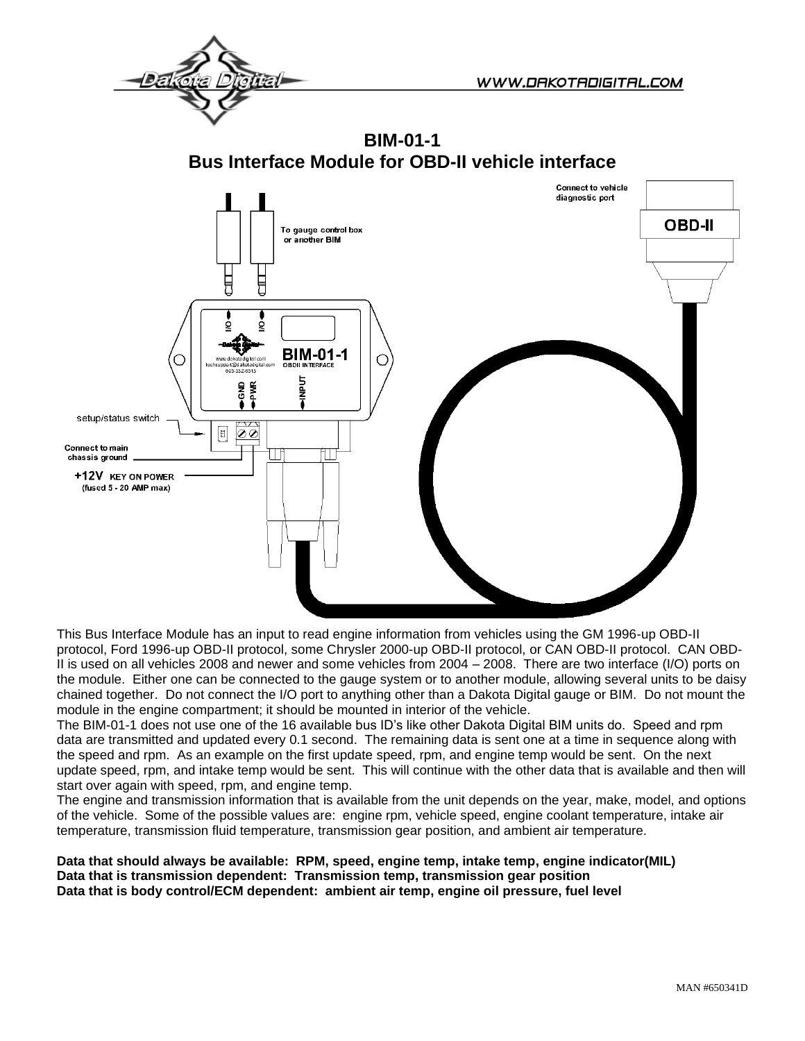**BIM-01-1 Bus Interface Module for OBD-II vehicle interface**



This Bus Interface Module has an input to read engine information from vehicles using the GM 1996-up OBD-II protocol, Ford 1996-up OBD-II protocol, some Chrysler 2000-up OBD-II protocol, or CAN OBD-II protocol. CAN OBD-II is used on all vehicles 2008 and newer and some vehicles from 2004 – 2008. There are two interface (I/O) ports on the module. Either one can be connected to the gauge system or to another module, allowing several units to be daisy chained together. Do not connect the I/O port to anything other than a Dakota Digital gauge or BIM. Do not mount the module in the engine compartment; it should be mounted in interior of the vehicle.

The BIM-01-1 does not use one of the 16 available bus ID's like other Dakota Digital BIM units do. Speed and rpm data are transmitted and updated every 0.1 second. The remaining data is sent one at a time in sequence along with the speed and rpm. As an example on the first update speed, rpm, and engine temp would be sent. On the next update speed, rpm, and intake temp would be sent. This will continue with the other data that is available and then will start over again with speed, rpm, and engine temp.

The engine and transmission information that is available from the unit depends on the year, make, model, and options of the vehicle. Some of the possible values are: engine rpm, vehicle speed, engine coolant temperature, intake air temperature, transmission fluid temperature, transmission gear position, and ambient air temperature.

**Data that should always be available: RPM, speed, engine temp, intake temp, engine indicator(MIL) Data that is transmission dependent: Transmission temp, transmission gear position Data that is body control/ECM dependent: ambient air temp, engine oil pressure, fuel level**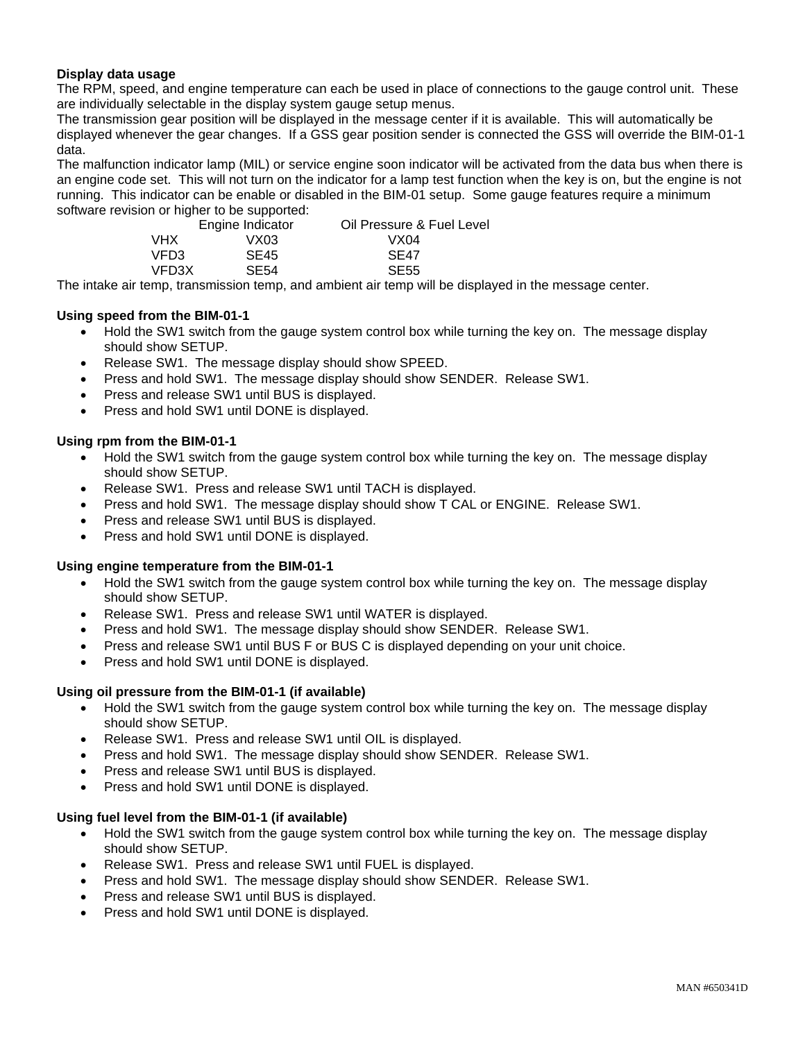## **Display data usage**

The RPM, speed, and engine temperature can each be used in place of connections to the gauge control unit. These are individually selectable in the display system gauge setup menus.

The transmission gear position will be displayed in the message center if it is available. This will automatically be displayed whenever the gear changes. If a GSS gear position sender is connected the GSS will override the BIM-01-1 data.

The malfunction indicator lamp (MIL) or service engine soon indicator will be activated from the data bus when there is an engine code set. This will not turn on the indicator for a lamp test function when the key is on, but the engine is not running. This indicator can be enable or disabled in the BIM-01 setup. Some gauge features require a minimum software revision or higher to be supported:

|        | Engine Indicator | Oil Pressure & Fuel Level |
|--------|------------------|---------------------------|
| VHX    | VX03             | VX04                      |
| VFD3.  | SE <sub>45</sub> | SE <sub>47</sub>          |
| VFD3X. | <b>SE54</b>      | <b>SE55</b>               |

The intake air temp, transmission temp, and ambient air temp will be displayed in the message center.

### **Using speed from the BIM-01-1**

- Hold the SW1 switch from the gauge system control box while turning the key on. The message display should show SETUP.
- Release SW1. The message display should show SPEED.
- Press and hold SW1. The message display should show SENDER. Release SW1.
- Press and release SW1 until BUS is displayed.
- Press and hold SW1 until DONE is displayed.

#### **Using rpm from the BIM-01-1**

- Hold the SW1 switch from the gauge system control box while turning the key on. The message display should show SETUP.
- Release SW1. Press and release SW1 until TACH is displayed.
- Press and hold SW1. The message display should show T CAL or ENGINE. Release SW1.
- Press and release SW1 until BUS is displayed.
- Press and hold SW1 until DONE is displayed.

#### **Using engine temperature from the BIM-01-1**

- Hold the SW1 switch from the gauge system control box while turning the key on. The message display should show SETUP.
- Release SW1. Press and release SW1 until WATER is displayed.
- Press and hold SW1. The message display should show SENDER. Release SW1.
- Press and release SW1 until BUS F or BUS C is displayed depending on your unit choice.
- Press and hold SW1 until DONE is displayed.

#### **Using oil pressure from the BIM-01-1 (if available)**

- Hold the SW1 switch from the gauge system control box while turning the key on. The message display should show SETUP.
- Release SW1. Press and release SW1 until OIL is displayed.
- Press and hold SW1. The message display should show SENDER. Release SW1.
- Press and release SW1 until BUS is displayed.
- Press and hold SW1 until DONE is displayed.

#### **Using fuel level from the BIM-01-1 (if available)**

- Hold the SW1 switch from the gauge system control box while turning the key on. The message display should show SETUP.
- Release SW1. Press and release SW1 until FUEL is displayed.
- Press and hold SW1. The message display should show SENDER. Release SW1.
- Press and release SW1 until BUS is displayed.
- Press and hold SW1 until DONE is displayed.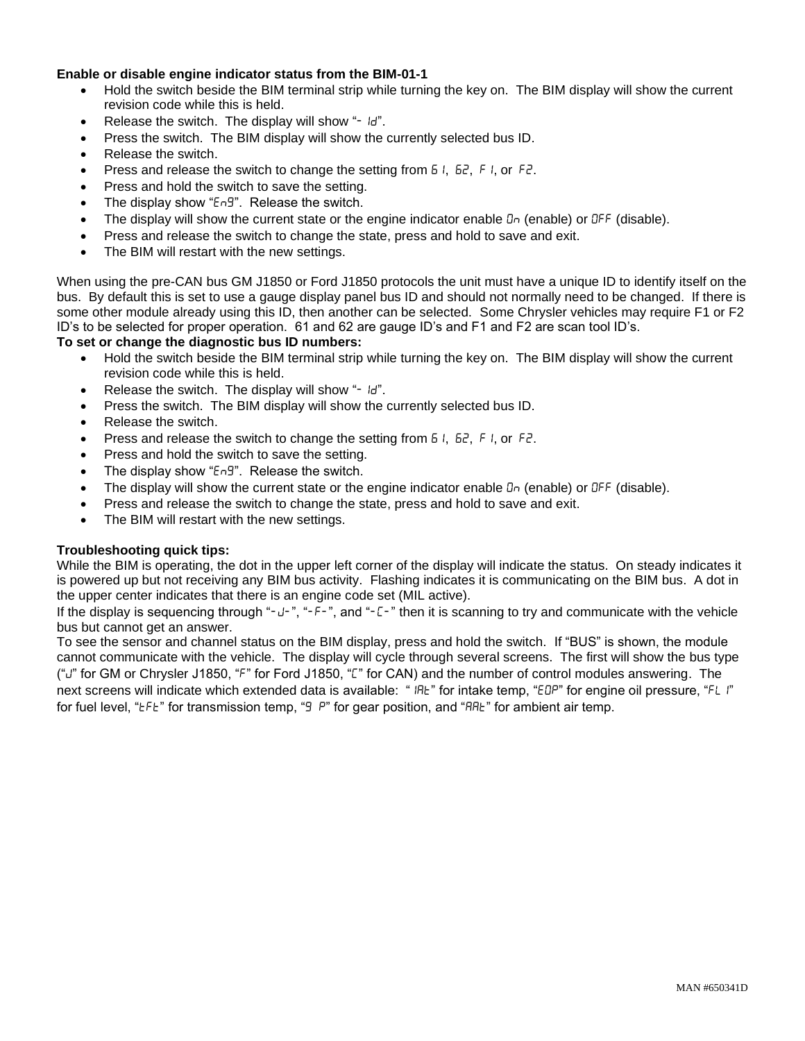## **Enable or disable engine indicator status from the BIM-01-1**

- Hold the switch beside the BIM terminal strip while turning the key on. The BIM display will show the current revision code while this is held.
- Release the switch. The display will show " $\mathbb{H}^n$ .
- Press the switch. The BIM display will show the currently selected bus ID.
- Release the switch.
- Press and release the switch to change the setting from  $51, 62, 61, 60, 62$ .
- Press and hold the switch to save the setting.
- The display show " $E \cap 9$ ". Release the switch.
- The display will show the current state or the engine indicator enable  $\alpha$  (enable) or  $\Delta F$  (disable).
- Press and release the switch to change the state, press and hold to save and exit.
- The BIM will restart with the new settings.

When using the pre-CAN bus GM J1850 or Ford J1850 protocols the unit must have a unique ID to identify itself on the bus. By default this is set to use a gauge display panel bus ID and should not normally need to be changed. If there is some other module already using this ID, then another can be selected. Some Chrysler vehicles may require F1 or F2 ID's to be selected for proper operation. 61 and 62 are gauge ID's and F1 and F2 are scan tool ID's.

### **To set or change the diagnostic bus ID numbers:**

- Hold the switch beside the BIM terminal strip while turning the key on. The BIM display will show the current revision code while this is held.
- Release the switch. The display will show " $\mathbb{H}^n$ .
- Press the switch. The BIM display will show the currently selected bus ID.
- Release the switch.
- Press and release the switch to change the setting from  $5\,i$ ,  $5\,i$ ,  $5\,i$ , or  $5\,i$ .
- Press and hold the switch to save the setting.
- The display show "Eng". Release the switch.
- The display will show the current state or the engine indicator enable  $\alpha$  (enable) or  $\Delta F$  (disable).
- Press and release the switch to change the state, press and hold to save and exit.
- The BIM will restart with the new settings.

### **Troubleshooting quick tips:**

While the BIM is operating, the dot in the upper left corner of the display will indicate the status. On steady indicates it is powered up but not receiving any BIM bus activity. Flashing indicates it is communicating on the BIM bus. A dot in the upper center indicates that there is an engine code set (MIL active).

If the display is sequencing through "-u-", "-F-", and "-L-" then it is scanning to try and communicate with the vehicle bus but cannot get an answer.

To see the sensor and channel status on the BIM display, press and hold the switch. If "BUS" is shown, the module cannot communicate with the vehicle. The display will cycle through several screens. The first will show the bus type ("") for GM or Chrysler J1850, "F" for Ford J1850, "L" for CAN) and the number of control modules answering. The next screens will indicate which extended data is available: "IRE" for intake temp, "EDP" for engine oil pressure, "FL I" for fuel level, " $E F E$ " for transmission temp, " $\overline{9}$  P" for gear position, and " $H B E$ " for ambient air temp.